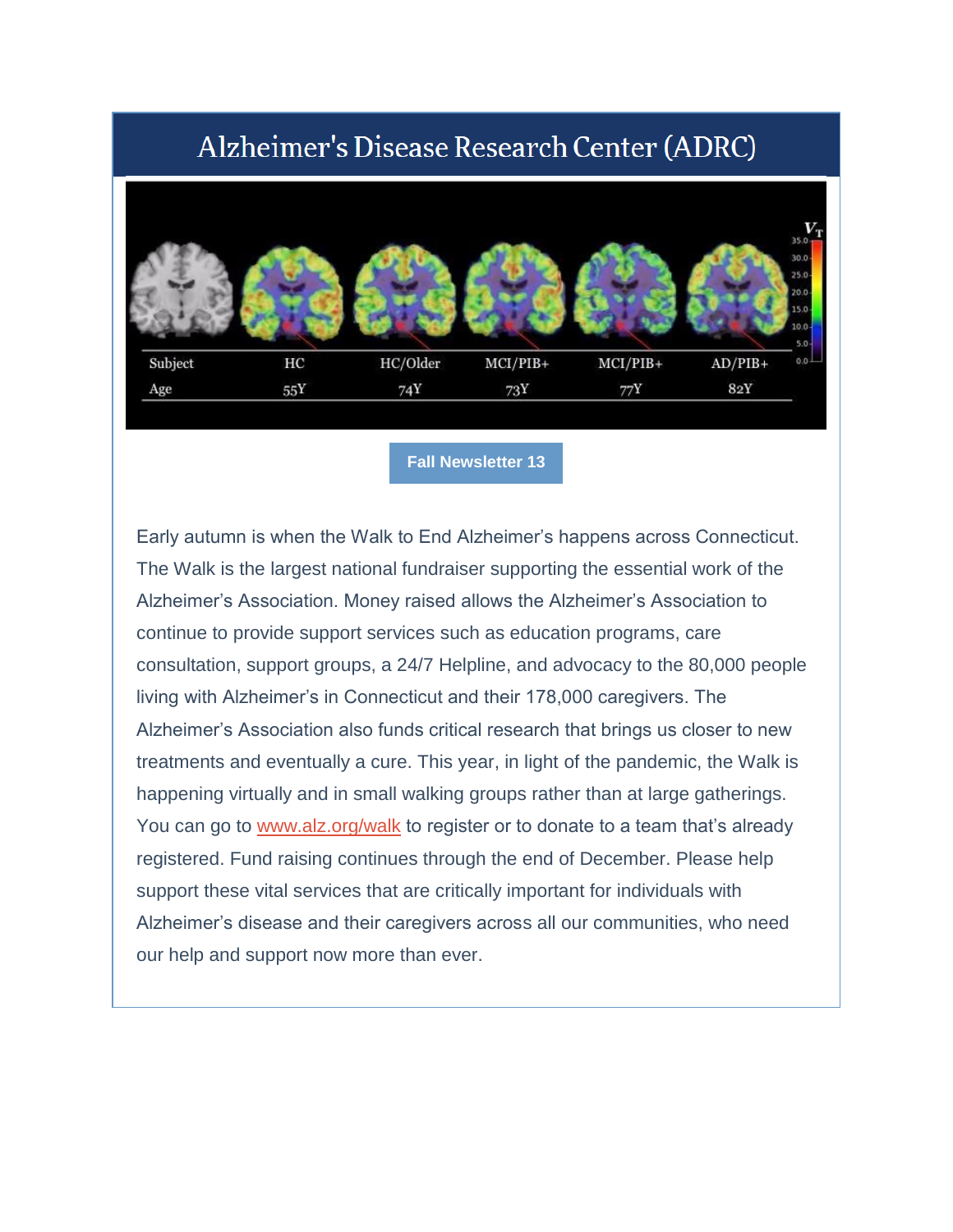# Alzheimer's Disease Research Center (ADRC)



#### **[Fall Newsletter 13](https://nam05.safelinks.protection.outlook.com/?url=http%3A%2F%2Fr20.rs6.net%2Ftn.jsp%3Ff%3D001fu3DyvlslprF1amJYOCSwRbfC7VP38LEmyGdRtaxQWo7OU4ftfMsorw0wal2tLcO_0bVTBHu7VZhjKOjNHgJ9L5u67o9QuV3KAM3hMachnkSkIzWxBAv84gQdy_nUOfh4KNWPFDufvUF2POBJLxveCauikw6ycNUOZ7VwrdMs8k%3D%26c%3DKxYpvpB5ggXujHYn2YkVoNakaFt52AvWwnaU0qwEzabqaFr4NllD4g%3D%3D%26ch%3DOYMCJLQr6OA2yc3Y50_8y8dEsH32LYUoP7NYIvcLGMpUtnDpNReVXg%3D%3D&data=02%7C01%7Cgeraldine.hawthorne%40yale.edu%7C246a0357deb647bf0ad308d86957bdec%7Cdd8cbebb21394df8b4114e3e87abeb5c%7C0%7C0%7C637375172858446473&sdata=UUBIReiW3vN3AIfSX8UqTGQqxzS04KFxEioasfU8Iak%3D&reserved=0)**

Early autumn is when the Walk to End Alzheimer's happens across Connecticut. The Walk is the largest national fundraiser supporting the essential work of the Alzheimer's Association. Money raised allows the Alzheimer's Association to continue to provide support services such as education programs, care consultation, support groups, a 24/7 Helpline, and advocacy to the 80,000 people living with Alzheimer's in Connecticut and their 178,000 caregivers. The Alzheimer's Association also funds critical research that brings us closer to new treatments and eventually a cure. This year, in light of the pandemic, the Walk is happening virtually and in small walking groups rather than at large gatherings. You can go to [www.alz.org/walk](https://nam05.safelinks.protection.outlook.com/?url=http%3A%2F%2Fr20.rs6.net%2Ftn.jsp%3Ff%3D001fu3DyvlslprF1amJYOCSwRbfC7VP38LEmyGdRtaxQWo7OU4ftfMsohLAJQKZW3M1nqb4rBKmjM3S6L6sneV0FPOMfqvoPVmhP5MarvsAkirCPq_8c541p2eN5T4Jv4--MvICQ27nCdSgiUy3FM7T2w%3D%3D%26c%3DKxYpvpB5ggXujHYn2YkVoNakaFt52AvWwnaU0qwEzabqaFr4NllD4g%3D%3D%26ch%3DOYMCJLQr6OA2yc3Y50_8y8dEsH32LYUoP7NYIvcLGMpUtnDpNReVXg%3D%3D&data=02%7C01%7Cgeraldine.hawthorne%40yale.edu%7C246a0357deb647bf0ad308d86957bdec%7Cdd8cbebb21394df8b4114e3e87abeb5c%7C0%7C0%7C637375172858456469&sdata=XBmUATMtWcHxEnbuEDQhSm%2F4ib8%2B%2BbuJdsOlzVCg1B0%3D&reserved=0) to register or to donate to a team that's already registered. Fund raising continues through the end of December. Please help support these vital services that are critically important for individuals with Alzheimer's disease and their caregivers across all our communities, who need our help and support now more than ever.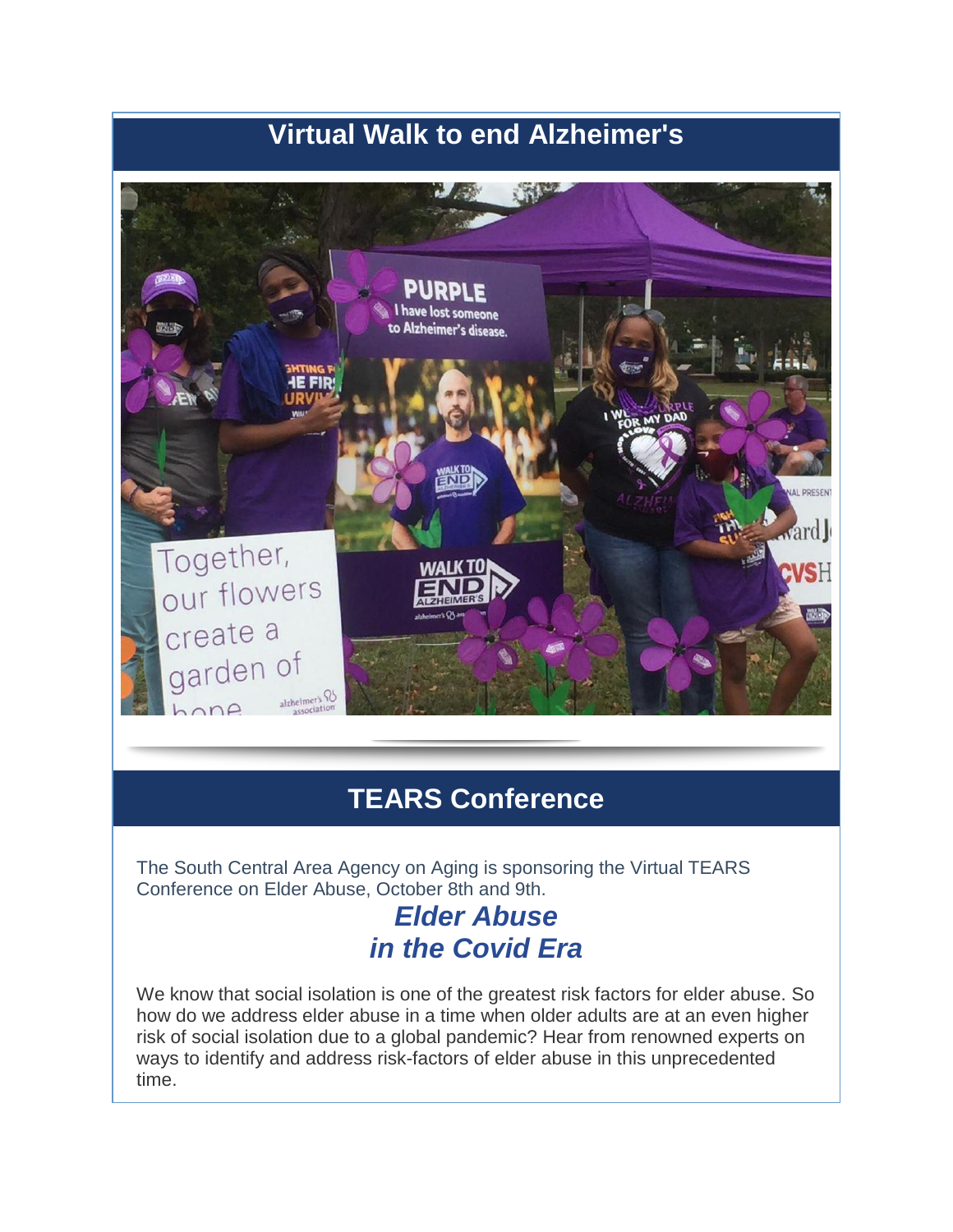# **Virtual Walk to end Alzheimer's**



## **TEARS Conference**

The South Central Area Agency on Aging is sponsoring the Virtual TEARS Conference on Elder Abuse, October 8th and 9th.

## *Elder Abuse in the Covid Era*

We know that social isolation is one of the greatest risk factors for elder abuse. So how do we address elder abuse in a time when older adults are at an even higher risk of social isolation due to a global pandemic? Hear from renowned experts on ways to identify and address risk-factors of elder abuse in this unprecedented time.